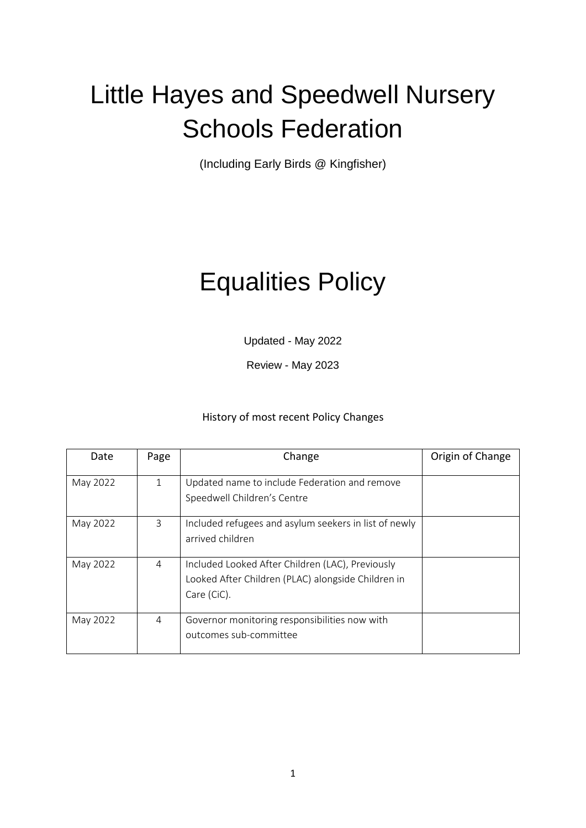# Little Hayes and Speedwell Nursery Schools Federation

(Including Early Birds @ Kingfisher)

# Equalities Policy

Updated - May 2022

Review - May 2023

## History of most recent Policy Changes

| Date     | Page | Change                                                                                                                | Origin of Change |
|----------|------|-----------------------------------------------------------------------------------------------------------------------|------------------|
| May 2022 | 1    | Updated name to include Federation and remove<br>Speedwell Children's Centre                                          |                  |
| May 2022 | 3    | Included refugees and asylum seekers in list of newly<br>arrived children                                             |                  |
| May 2022 | 4    | Included Looked After Children (LAC), Previously<br>Looked After Children (PLAC) alongside Children in<br>Care (CiC). |                  |
| May 2022 | 4    | Governor monitoring responsibilities now with<br>outcomes sub-committee                                               |                  |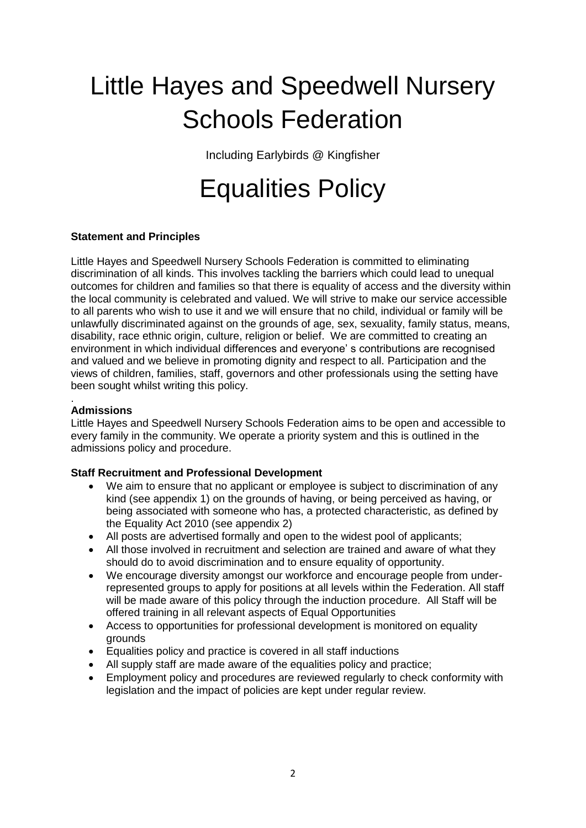# Little Hayes and Speedwell Nursery Schools Federation

Including Earlybirds @ Kingfisher

## Equalities Policy

### **Statement and Principles**

Little Hayes and Speedwell Nursery Schools Federation is committed to eliminating discrimination of all kinds. This involves tackling the barriers which could lead to unequal outcomes for children and families so that there is equality of access and the diversity within the local community is celebrated and valued. We will strive to make our service accessible to all parents who wish to use it and we will ensure that no child, individual or family will be unlawfully discriminated against on the grounds of age, sex, sexuality, family status, means, disability, race ethnic origin, culture, religion or belief. We are committed to creating an environment in which individual differences and everyone' s contributions are recognised and valued and we believe in promoting dignity and respect to all. Participation and the views of children, families, staff, governors and other professionals using the setting have been sought whilst writing this policy.

#### . **Admissions**

Little Hayes and Speedwell Nursery Schools Federation aims to be open and accessible to every family in the community. We operate a priority system and this is outlined in the admissions policy and procedure.

#### **Staff Recruitment and Professional Development**

- We aim to ensure that no applicant or employee is subject to discrimination of any kind (see appendix 1) on the grounds of having, or being perceived as having, or being associated with someone who has, a protected characteristic, as defined by the Equality Act 2010 (see appendix 2)
- All posts are advertised formally and open to the widest pool of applicants;
- All those involved in recruitment and selection are trained and aware of what they should do to avoid discrimination and to ensure equality of opportunity.
- We encourage diversity amongst our workforce and encourage people from underrepresented groups to apply for positions at all levels within the Federation. All staff will be made aware of this policy through the induction procedure. All Staff will be offered training in all relevant aspects of Equal Opportunities
- Access to opportunities for professional development is monitored on equality grounds
- Equalities policy and practice is covered in all staff inductions
- All supply staff are made aware of the equalities policy and practice;
- Employment policy and procedures are reviewed regularly to check conformity with legislation and the impact of policies are kept under regular review.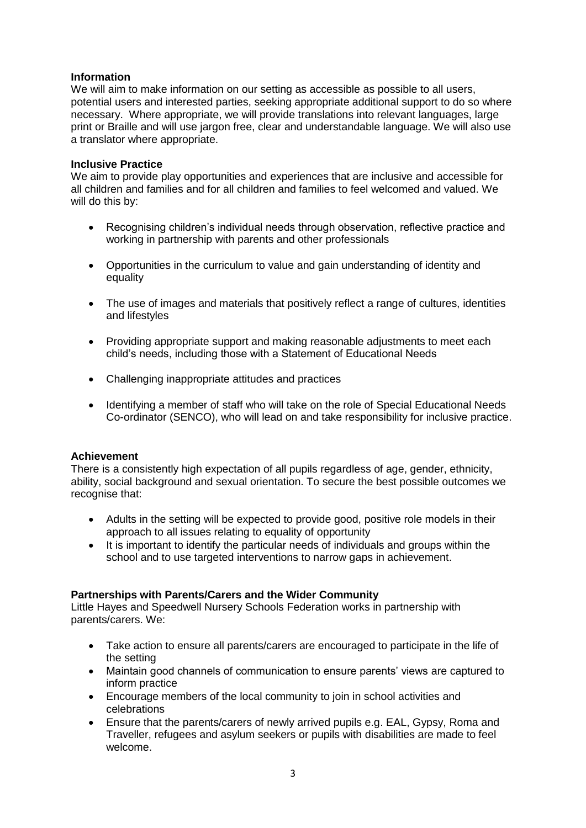### **Information**

We will aim to make information on our setting as accessible as possible to all users, potential users and interested parties, seeking appropriate additional support to do so where necessary. Where appropriate, we will provide translations into relevant languages, large print or Braille and will use jargon free, clear and understandable language. We will also use a translator where appropriate.

#### **Inclusive Practice**

We aim to provide play opportunities and experiences that are inclusive and accessible for all children and families and for all children and families to feel welcomed and valued. We will do this by:

- Recognising children's individual needs through observation, reflective practice and working in partnership with parents and other professionals
- Opportunities in the curriculum to value and gain understanding of identity and equality
- The use of images and materials that positively reflect a range of cultures, identities and lifestyles
- Providing appropriate support and making reasonable adjustments to meet each child's needs, including those with a Statement of Educational Needs
- Challenging inappropriate attitudes and practices
- Identifying a member of staff who will take on the role of Special Educational Needs Co-ordinator (SENCO), who will lead on and take responsibility for inclusive practice.

#### **Achievement**

There is a consistently high expectation of all pupils regardless of age, gender, ethnicity, ability, social background and sexual orientation. To secure the best possible outcomes we recognise that:

- Adults in the setting will be expected to provide good, positive role models in their approach to all issues relating to equality of opportunity
- It is important to identify the particular needs of individuals and groups within the school and to use targeted interventions to narrow gaps in achievement.

#### **Partnerships with Parents/Carers and the Wider Community**

Little Hayes and Speedwell Nursery Schools Federation works in partnership with parents/carers. We:

- Take action to ensure all parents/carers are encouraged to participate in the life of the setting
- Maintain good channels of communication to ensure parents' views are captured to inform practice
- Encourage members of the local community to join in school activities and celebrations
- Ensure that the parents/carers of newly arrived pupils e.g. EAL, Gypsy, Roma and Traveller, refugees and asylum seekers or pupils with disabilities are made to feel welcome.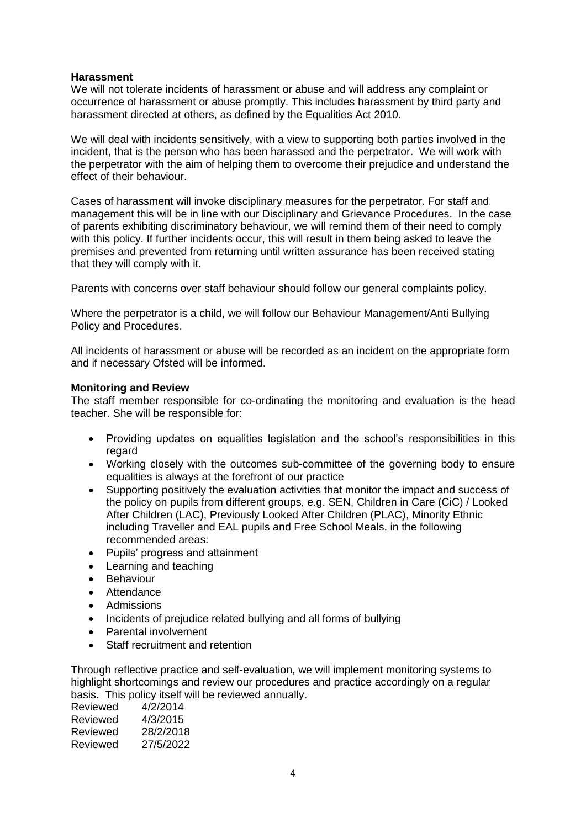#### **Harassment**

We will not tolerate incidents of harassment or abuse and will address any complaint or occurrence of harassment or abuse promptly. This includes harassment by third party and harassment directed at others, as defined by the Equalities Act 2010.

We will deal with incidents sensitively, with a view to supporting both parties involved in the incident, that is the person who has been harassed and the perpetrator. We will work with the perpetrator with the aim of helping them to overcome their prejudice and understand the effect of their behaviour.

Cases of harassment will invoke disciplinary measures for the perpetrator. For staff and management this will be in line with our Disciplinary and Grievance Procedures. In the case of parents exhibiting discriminatory behaviour, we will remind them of their need to comply with this policy. If further incidents occur, this will result in them being asked to leave the premises and prevented from returning until written assurance has been received stating that they will comply with it.

Parents with concerns over staff behaviour should follow our general complaints policy.

Where the perpetrator is a child, we will follow our Behaviour Management/Anti Bullying Policy and Procedures.

All incidents of harassment or abuse will be recorded as an incident on the appropriate form and if necessary Ofsted will be informed.

#### **Monitoring and Review**

The staff member responsible for co-ordinating the monitoring and evaluation is the head teacher. She will be responsible for:

- Providing updates on equalities legislation and the school's responsibilities in this regard
- Working closely with the outcomes sub-committee of the governing body to ensure equalities is always at the forefront of our practice
- Supporting positively the evaluation activities that monitor the impact and success of the policy on pupils from different groups, e.g. SEN, Children in Care (CiC) / Looked After Children (LAC), Previously Looked After Children (PLAC), Minority Ethnic including Traveller and EAL pupils and Free School Meals, in the following recommended areas:
- Pupils' progress and attainment
- Learning and teaching
- **•** Behaviour
- Attendance
- Admissions
- Incidents of prejudice related bullying and all forms of bullying
- Parental involvement
- Staff recruitment and retention

Through reflective practice and self-evaluation, we will implement monitoring systems to highlight shortcomings and review our procedures and practice accordingly on a regular basis. This policy itself will be reviewed annually.

| Reviewed | 4/2/2014  |
|----------|-----------|
| Reviewed | 4/3/2015  |
| Reviewed | 28/2/2018 |
| Reviewed | 27/5/2022 |
|          |           |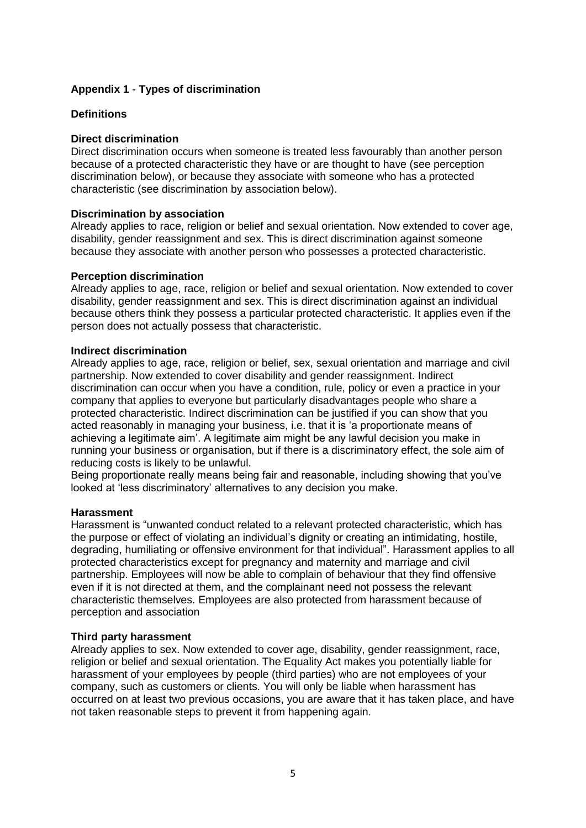### **Appendix 1** - **Types of discrimination**

#### **Definitions**

#### **Direct discrimination**

Direct discrimination occurs when someone is treated less favourably than another person because of a protected characteristic they have or are thought to have (see perception discrimination below), or because they associate with someone who has a protected characteristic (see discrimination by association below).

#### **Discrimination by association**

Already applies to race, religion or belief and sexual orientation. Now extended to cover age, disability, gender reassignment and sex. This is direct discrimination against someone because they associate with another person who possesses a protected characteristic.

#### **Perception discrimination**

Already applies to age, race, religion or belief and sexual orientation. Now extended to cover disability, gender reassignment and sex. This is direct discrimination against an individual because others think they possess a particular protected characteristic. It applies even if the person does not actually possess that characteristic.

#### **Indirect discrimination**

Already applies to age, race, religion or belief, sex, sexual orientation and marriage and civil partnership. Now extended to cover disability and gender reassignment. Indirect discrimination can occur when you have a condition, rule, policy or even a practice in your company that applies to everyone but particularly disadvantages people who share a protected characteristic. Indirect discrimination can be justified if you can show that you acted reasonably in managing your business, i.e. that it is 'a proportionate means of achieving a legitimate aim'. A legitimate aim might be any lawful decision you make in running your business or organisation, but if there is a discriminatory effect, the sole aim of reducing costs is likely to be unlawful.

Being proportionate really means being fair and reasonable, including showing that you've looked at 'less discriminatory' alternatives to any decision you make.

#### **Harassment**

Harassment is "unwanted conduct related to a relevant protected characteristic, which has the purpose or effect of violating an individual's dignity or creating an intimidating, hostile, degrading, humiliating or offensive environment for that individual". Harassment applies to all protected characteristics except for pregnancy and maternity and marriage and civil partnership. Employees will now be able to complain of behaviour that they find offensive even if it is not directed at them, and the complainant need not possess the relevant characteristic themselves. Employees are also protected from harassment because of perception and association

#### **Third party harassment**

Already applies to sex. Now extended to cover age, disability, gender reassignment, race, religion or belief and sexual orientation. The Equality Act makes you potentially liable for harassment of your employees by people (third parties) who are not employees of your company, such as customers or clients. You will only be liable when harassment has occurred on at least two previous occasions, you are aware that it has taken place, and have not taken reasonable steps to prevent it from happening again.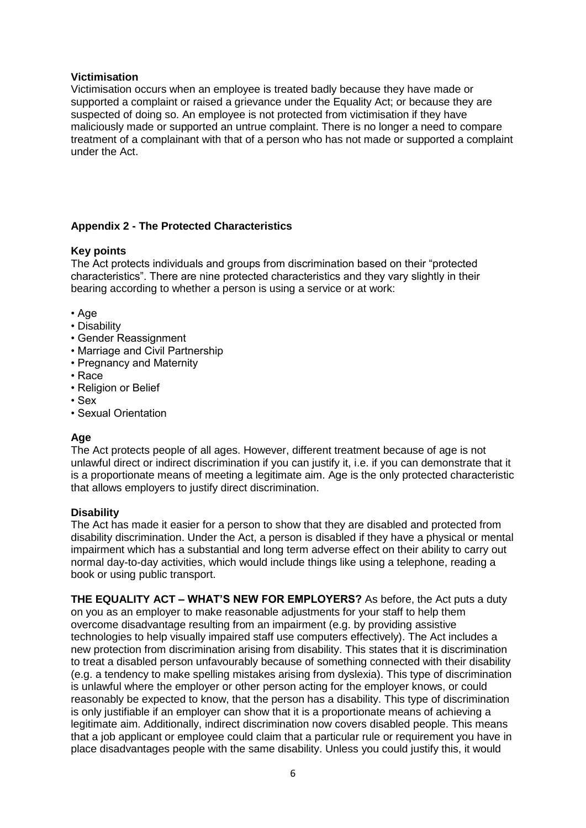#### **Victimisation**

Victimisation occurs when an employee is treated badly because they have made or supported a complaint or raised a grievance under the Equality Act; or because they are suspected of doing so. An employee is not protected from victimisation if they have maliciously made or supported an untrue complaint. There is no longer a need to compare treatment of a complainant with that of a person who has not made or supported a complaint under the Act.

## **Appendix 2 - The Protected Characteristics**

## **Key points**

The Act protects individuals and groups from discrimination based on their "protected characteristics". There are nine protected characteristics and they vary slightly in their bearing according to whether a person is using a service or at work:

- Age
- Disability
- Gender Reassignment
- Marriage and Civil Partnership
- Pregnancy and Maternity
- Race
- Religion or Belief
- Sex
- Sexual Orientation

## **Age**

The Act protects people of all ages. However, different treatment because of age is not unlawful direct or indirect discrimination if you can justify it, i.e. if you can demonstrate that it is a proportionate means of meeting a legitimate aim. Age is the only protected characteristic that allows employers to justify direct discrimination.

## **Disability**

The Act has made it easier for a person to show that they are disabled and protected from disability discrimination. Under the Act, a person is disabled if they have a physical or mental impairment which has a substantial and long term adverse effect on their ability to carry out normal day-to-day activities, which would include things like using a telephone, reading a book or using public transport.

**THE EQUALITY ACT – WHAT'S NEW FOR EMPLOYERS?** As before, the Act puts a duty on you as an employer to make reasonable adjustments for your staff to help them overcome disadvantage resulting from an impairment (e.g. by providing assistive technologies to help visually impaired staff use computers effectively). The Act includes a new protection from discrimination arising from disability. This states that it is discrimination to treat a disabled person unfavourably because of something connected with their disability (e.g. a tendency to make spelling mistakes arising from dyslexia). This type of discrimination is unlawful where the employer or other person acting for the employer knows, or could reasonably be expected to know, that the person has a disability. This type of discrimination is only justifiable if an employer can show that it is a proportionate means of achieving a legitimate aim. Additionally, indirect discrimination now covers disabled people. This means that a job applicant or employee could claim that a particular rule or requirement you have in place disadvantages people with the same disability. Unless you could justify this, it would